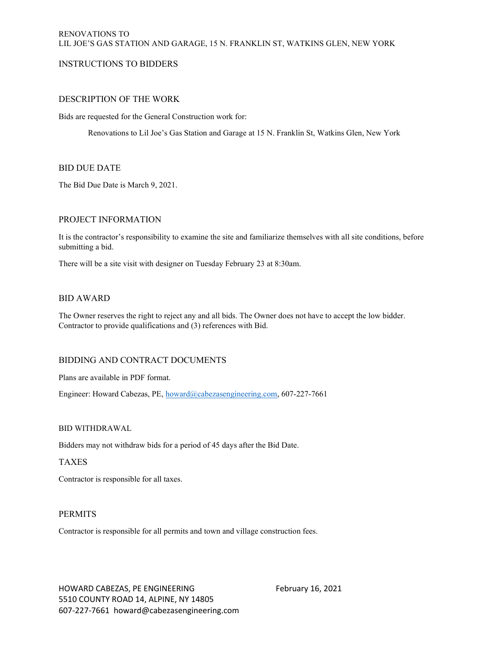# INSTRUCTIONS TO BIDDERS

# DESCRIPTION OF THE WORK

Bids are requested for the General Construction work for:

Renovations to Lil Joe's Gas Station and Garage at 15 N. Franklin St, Watkins Glen, New York

# BID DUE DATE

The Bid Due Date is March 9, 2021.

# PROJECT INFORMATION

It is the contractor's responsibility to examine the site and familiarize themselves with all site conditions, before submitting a bid.

There will be a site visit with designer on Tuesday February 23 at 8:30am.

# BID AWARD

The Owner reserves the right to reject any and all bids. The Owner does not have to accept the low bidder. Contractor to provide qualifications and (3) references with Bid.

# BIDDING AND CONTRACT DOCUMENTS

Plans are available in PDF format.

Engineer: Howard Cabezas, PE, howard@cabezasengineering.com, 607-227-7661

# BID WITHDRAWAL

Bidders may not withdraw bids for a period of 45 days after the Bid Date.

# TAXES

Contractor is responsible for all taxes.

# PERMITS

Contractor is responsible for all permits and town and village construction fees.

HOWARD CABEZAS, PE ENGINEERING February 16, 2021 5510 COUNTY ROAD 14, ALPINE, NY 14805 607-227-7661 howard@cabezasengineering.com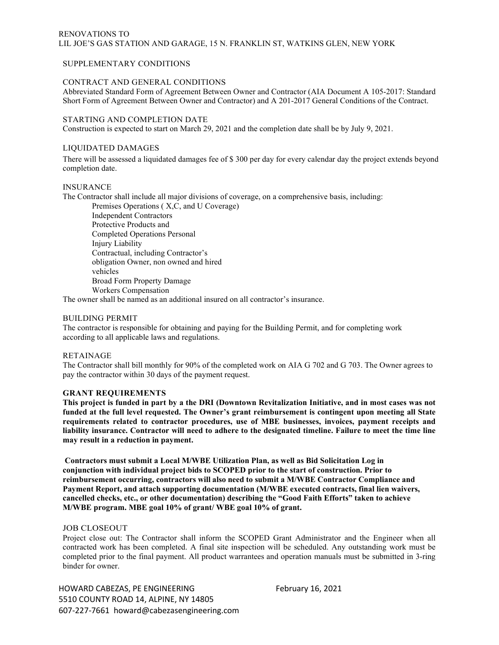# RENOVATIONS TO LIL JOE'S GAS STATION AND GARAGE, 15 N. FRANKLIN ST, WATKINS GLEN, NEW YORK

### SUPPLEMENTARY CONDITIONS

# CONTRACT AND GENERAL CONDITIONS

Abbreviated Standard Form of Agreement Between Owner and Contractor (AIA Document A 105-2017: Standard Short Form of Agreement Between Owner and Contractor) and A 201-2017 General Conditions of the Contract.

#### STARTING AND COMPLETION DATE

Construction is expected to start on March 29, 2021 and the completion date shall be by July 9, 2021.

### LIQUIDATED DAMAGES

There will be assessed a liquidated damages fee of \$ 300 per day for every calendar day the project extends beyond completion date.

#### INSURANCE

The Contractor shall include all major divisions of coverage, on a comprehensive basis, including:

Premises Operations ( X,C, and U Coverage) Independent Contractors Protective Products and Completed Operations Personal Injury Liability Contractual, including Contractor's obligation Owner, non owned and hired vehicles Broad Form Property Damage Workers Compensation

The owner shall be named as an additional insured on all contractor's insurance.

#### BUILDING PERMIT

The contractor is responsible for obtaining and paying for the Building Permit, and for completing work according to all applicable laws and regulations.

#### RETAINAGE

The Contractor shall bill monthly for 90% of the completed work on AIA G 702 and G 703. The Owner agrees to pay the contractor within 30 days of the payment request.

#### GRANT REQUIREMENTS

This project is funded in part by a the DRI (Downtown Revitalization Initiative, and in most cases was not funded at the full level requested. The Owner's grant reimbursement is contingent upon meeting all State requirements related to contractor procedures, use of MBE businesses, invoices, payment receipts and liability insurance. Contractor will need to adhere to the designated timeline. Failure to meet the time line may result in a reduction in payment.

Contractors must submit a Local M/WBE Utilization Plan, as well as Bid Solicitation Log in conjunction with individual project bids to SCOPED prior to the start of construction. Prior to reimbursement occurring, contractors will also need to submit a M/WBE Contractor Compliance and Payment Report, and attach supporting documentation (M/WBE executed contracts, final lien waivers, cancelled checks, etc., or other documentation) describing the "Good Faith Efforts" taken to achieve M/WBE program. MBE goal 10% of grant/ WBE goal 10% of grant.

#### JOB CLOSEOUT

Project close out: The Contractor shall inform the SCOPED Grant Administrator and the Engineer when all contracted work has been completed. A final site inspection will be scheduled. Any outstanding work must be completed prior to the final payment. All product warrantees and operation manuals must be submitted in 3-ring binder for owner.

HOWARD CABEZAS, PE ENGINEERING February 16, 2021 5510 COUNTY ROAD 14, ALPINE, NY 14805 607-227-7661 howard@cabezasengineering.com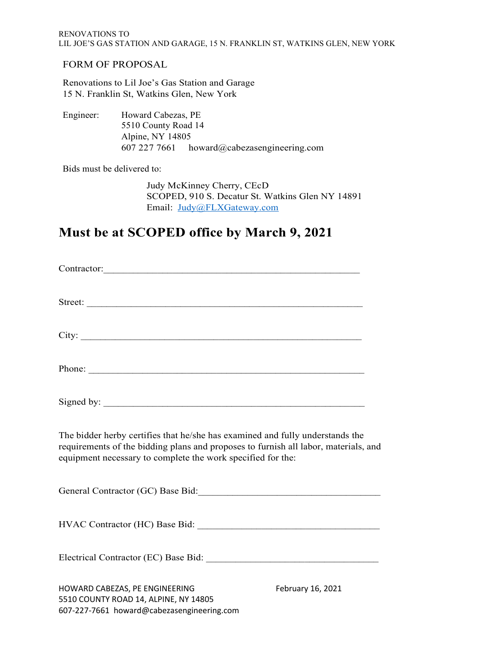# FORM OF PROPOSAL

Renovations to Lil Joe's Gas Station and Garage 15 N. Franklin St, Watkins Glen, New York

Engineer: Howard Cabezas, PE 5510 County Road 14 Alpine, NY 14805 607 227 7661 howard@cabezasengineering.com

Bids must be delivered to:

Judy McKinney Cherry, CEcD SCOPED, 910 S. Decatur St. Watkins Glen NY 14891 Email: Judy@FLXGateway.com

# Must be at SCOPED office by March 9, 2021

| Phone:                                                                                                                                                                                                                              |                   |
|-------------------------------------------------------------------------------------------------------------------------------------------------------------------------------------------------------------------------------------|-------------------|
|                                                                                                                                                                                                                                     |                   |
| The bidder herby certifies that he/she has examined and fully understands the<br>requirements of the bidding plans and proposes to furnish all labor, materials, and<br>equipment necessary to complete the work specified for the: |                   |
|                                                                                                                                                                                                                                     |                   |
|                                                                                                                                                                                                                                     |                   |
|                                                                                                                                                                                                                                     |                   |
| HOWARD CABEZAS, PE ENGINEERING<br>5510 COUNTY ROAD 14, ALPINE, NY 14805                                                                                                                                                             | February 16, 2021 |

607-227-7661 howard@cabezasengineering.com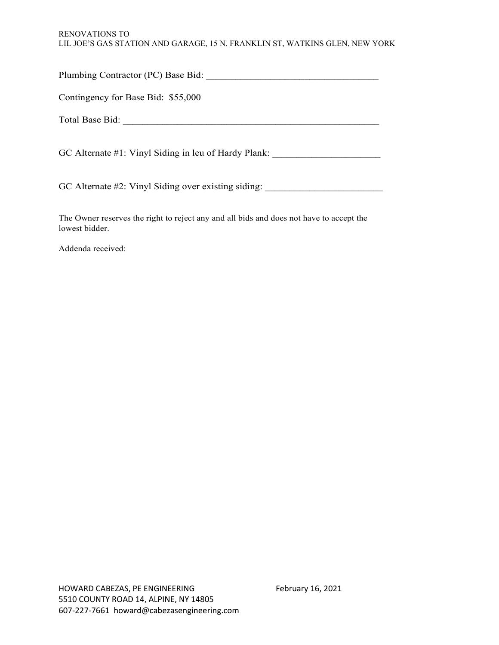# RENOVATIONS TO LIL JOE'S GAS STATION AND GARAGE, 15 N. FRANKLIN ST, WATKINS GLEN, NEW YORK

| Contingency for Base Bid: \$55,000                                                      |  |
|-----------------------------------------------------------------------------------------|--|
|                                                                                         |  |
| GC Alternate #1: Vinyl Siding in leu of Hardy Plank: ___________________________        |  |
| GC Alternate #2: Vinyl Siding over existing siding:                                     |  |
| The Owner reserves the right to reject any and all bids and does not have to accept the |  |

Addenda received:

lowest bidder.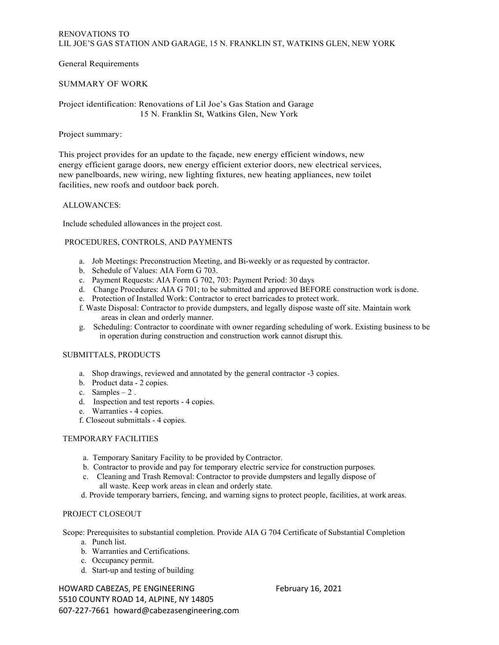General Requirements

## SUMMARY OF WORK

Project identification: Renovations of Lil Joe's Gas Station and Garage 15 N. Franklin St, Watkins Glen, New York

### Project summary:

This project provides for an update to the façade, new energy efficient windows, new energy efficient garage doors, new energy efficient exterior doors, new electrical services, new panelboards, new wiring, new lighting fixtures, new heating appliances, new toilet facilities, new roofs and outdoor back porch.

#### ALLOWANCES:

Include scheduled allowances in the project cost.

# PROCEDURES, CONTROLS, AND PAYMENTS

- a. Job Meetings: Preconstruction Meeting, and Bi-weekly or as requested by contractor.
- b. Schedule of Values: AIA Form G 703.
- c. Payment Requests: AIA Form G 702, 703: Payment Period: 30 days
- d. Change Procedures: AIA G 701; to be submitted and approved BEFORE construction work is done.
- e. Protection of Installed Work: Contractor to erect barricades to protect work.
- f. Waste Disposal: Contractor to provide dumpsters, and legally dispose waste off site. Maintain work areas in clean and orderly manner.
- g. Scheduling: Contractor to coordinate with owner regarding scheduling of work. Existing business to be in operation during construction and construction work cannot disrupt this.

# SUBMITTALS, PRODUCTS

- a. Shop drawings, reviewed and annotated by the general contractor -3 copies.
- b. Product data 2 copies.
- c. Samples 2 .
- d. Inspection and test reports 4 copies.
- e. Warranties 4 copies.
- f. Closeout submittals 4 copies.

# TEMPORARY FACILITIES

- a. Temporary Sanitary Facility to be provided by Contractor.
- b. Contractor to provide and pay for temporary electric service for construction purposes. c. Cleaning and Trash Removal: Contractor to provide dumpsters and legally dispose of
- all waste. Keep work areas in clean and orderly state.
- d. Provide temporary barriers, fencing, and warning signs to protect people, facilities, at work areas.

#### PROJECT CLOSEOUT

Scope: Prerequisites to substantial completion. Provide AIA G 704 Certificate of Substantial Completion

- a. Punch list.
- b. Warranties and Certifications.
- c. Occupancy permit.
- d. Start-up and testing of building

HOWARD CABEZAS, PE ENGINEERING February 16, 2021 5510 COUNTY ROAD 14, ALPINE, NY 14805 607-227-7661 howard@cabezasengineering.com